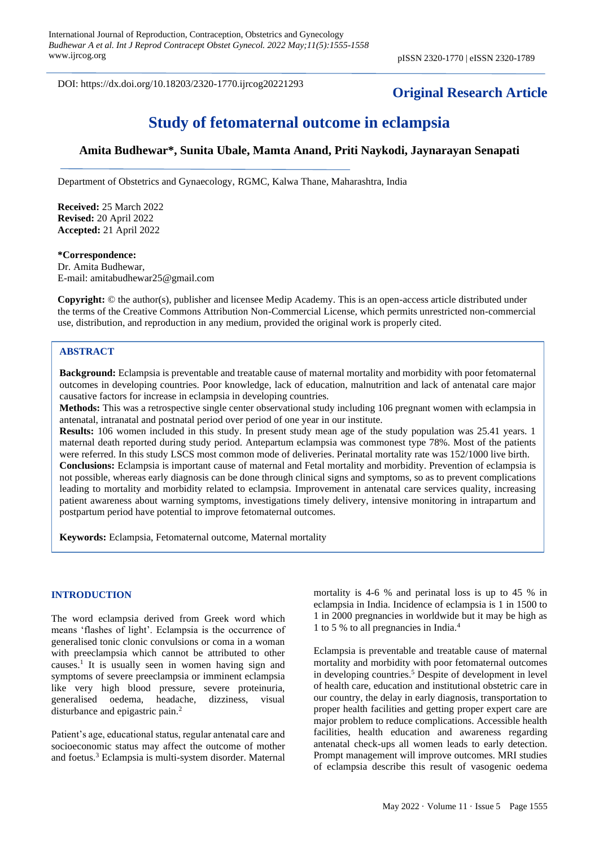DOI: https://dx.doi.org/10.18203/2320-1770.ijrcog20221293

# **Original Research Article**

# **Study of fetomaternal outcome in eclampsia**

# **Amita Budhewar\*, Sunita Ubale, Mamta Anand, Priti Naykodi, Jaynarayan Senapati**

Department of Obstetrics and Gynaecology, RGMC, Kalwa Thane, Maharashtra, India

**Received:** 25 March 2022 **Revised:** 20 April 2022 **Accepted:** 21 April 2022

# **\*Correspondence:** Dr. Amita Budhewar, E-mail: amitabudhewar25@gmail.com

**Copyright:** © the author(s), publisher and licensee Medip Academy. This is an open-access article distributed under the terms of the Creative Commons Attribution Non-Commercial License, which permits unrestricted non-commercial use, distribution, and reproduction in any medium, provided the original work is properly cited.

# **ABSTRACT**

**Background:** Eclampsia is preventable and treatable cause of maternal mortality and morbidity with poor fetomaternal outcomes in developing countries. Poor knowledge, lack of education, malnutrition and lack of antenatal care major causative factors for increase in eclampsia in developing countries.

**Methods:** This was a retrospective single center observational study including 106 pregnant women with eclampsia in antenatal, intranatal and postnatal period over period of one year in our institute.

**Results:** 106 women included in this study. In present study mean age of the study population was 25.41 years. 1 maternal death reported during study period. Antepartum eclampsia was commonest type 78%. Most of the patients were referred. In this study LSCS most common mode of deliveries. Perinatal mortality rate was 152/1000 live birth. **Conclusions:** Eclampsia is important cause of maternal and Fetal mortality and morbidity. Prevention of eclampsia is not possible, whereas early diagnosis can be done through clinical signs and symptoms, so as to prevent complications leading to mortality and morbidity related to eclampsia. Improvement in antenatal care services quality, increasing patient awareness about warning symptoms, investigations timely delivery, intensive monitoring in intrapartum and postpartum period have potential to improve fetomaternal outcomes.

**Keywords:** Eclampsia, Fetomaternal outcome, Maternal mortality

# **INTRODUCTION**

The word eclampsia derived from Greek word which means 'flashes of light'. Eclampsia is the occurrence of generalised tonic clonic convulsions or coma in a woman with preeclampsia which cannot be attributed to other causes.<sup>1</sup> It is usually seen in women having sign and symptoms of severe preeclampsia or imminent eclampsia like very high blood pressure, severe proteinuria, generalised oedema, headache, dizziness, visual disturbance and epigastric pain.<sup>2</sup>

Patient's age, educational status, regular antenatal care and socioeconomic status may affect the outcome of mother and foetus.<sup>3</sup> Eclampsia is multi-system disorder. Maternal mortality is 4-6 % and perinatal loss is up to 45 % in eclampsia in India. Incidence of eclampsia is 1 in 1500 to 1 in 2000 pregnancies in worldwide but it may be high as 1 to 5 % to all pregnancies in India.<sup>4</sup>

Eclampsia is preventable and treatable cause of maternal mortality and morbidity with poor fetomaternal outcomes in developing countries.<sup>5</sup> Despite of development in level of health care, education and institutional obstetric care in our country, the delay in early diagnosis, transportation to proper health facilities and getting proper expert care are major problem to reduce complications. Accessible health facilities, health education and awareness regarding antenatal check-ups all women leads to early detection. Prompt management will improve outcomes. MRI studies of eclampsia describe this result of vasogenic oedema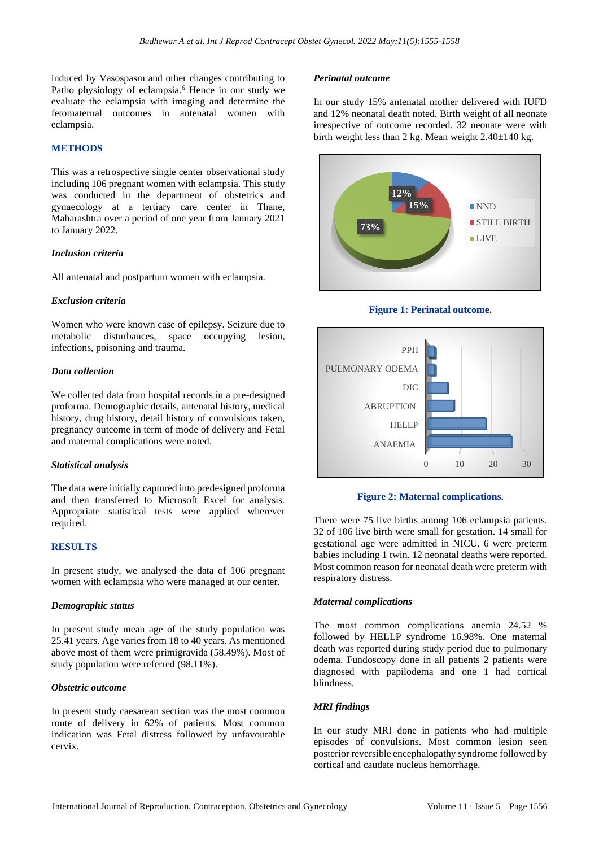induced by Vasospasm and other changes contributing to Patho physiology of eclampsia.<sup>6</sup> Hence in our study we evaluate the eclampsia with imaging and determine the fetomaternal outcomes in antenatal women with eclampsia.

# **METHODS**

This was a retrospective single center observational study including 106 pregnant women with eclampsia. This study was conducted in the department of obstetrics and gynaecology at a tertiary care center in Thane, Maharashtra over a period of one year from January 2021 to January 2022.

# *Inclusion criteria*

All antenatal and postpartum women with eclampsia.

# *Exclusion criteria*

Women who were known case of epilepsy. Seizure due to metabolic disturbances, space occupying lesion, infections, poisoning and trauma.

# *Data collection*

We collected data from hospital records in a pre-designed proforma. Demographic details, antenatal history, medical history, drug history, detail history of convulsions taken, pregnancy outcome in term of mode of delivery and Fetal and maternal complications were noted.

# *Statistical analysis*

The data were initially captured into predesigned proforma and then transferred to Microsoft Excel for analysis. Appropriate statistical tests were applied wherever required.

# **RESULTS**

In present study, we analysed the data of 106 pregnant women with eclampsia who were managed at our center.

# *Demographic status*

In present study mean age of the study population was 25.41 years. Age varies from 18 to 40 years. As mentioned above most of them were primigravida (58.49%). Most of study population were referred (98.11%).

# *Obstetric outcome*

In present study caesarean section was the most common route of delivery in 62% of patients. Most common indication was Fetal distress followed by unfavourable cervix.

# *Perinatal outcome*

In our study 15% antenatal mother delivered with IUFD and 12% neonatal death noted. Birth weight of all neonate irrespective of outcome recorded. 32 neonate were with birth weight less than 2 kg. Mean weight 2.40±140 kg.







# **Figure 2: Maternal complications.**

There were 75 live births among 106 eclampsia patients. 32 of 106 live birth were small for gestation. 14 small for gestational age were admitted in NICU. 6 were preterm babies including 1 twin. 12 neonatal deaths were reported. Most common reason for neonatal death were preterm with respiratory distress.

# *Maternal complications*

The most common complications anemia 24.52 % followed by HELLP syndrome 16.98%. One maternal death was reported during study period due to pulmonary odema. Fundoscopy done in all patients 2 patients were diagnosed with papilodema and one 1 had cortical blindness.

# *MRI findings*

In our study MRI done in patients who had multiple episodes of convulsions. Most common lesion seen posterior reversible encephalopathy syndrome followed by cortical and caudate nucleus hemorrhage.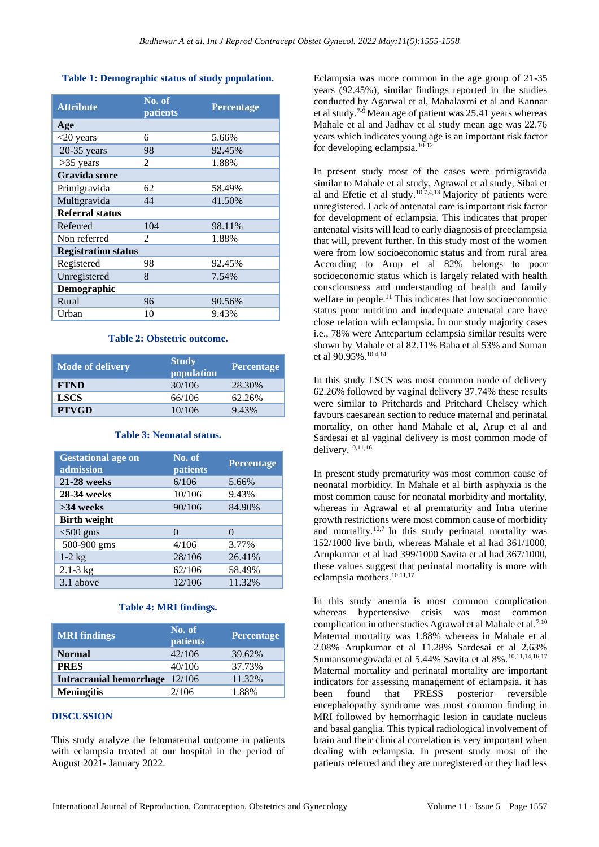# **Table 1: Demographic status of study population.**

| <b>Attribute</b>           | No. of<br>patients | Percentage |  |  |
|----------------------------|--------------------|------------|--|--|
| Age                        |                    |            |  |  |
| $<$ 20 years               | 6                  | 5.66%      |  |  |
| $20-35$ years              | 98                 | 92.45%     |  |  |
| $>35$ years                | 2                  | 1.88%      |  |  |
| Gravida score              |                    |            |  |  |
| Primigravida               | 62                 | 58.49%     |  |  |
| Multigravida               | 44                 | 41.50%     |  |  |
| Referral status            |                    |            |  |  |
| Referred                   | 104                | 98.11%     |  |  |
| Non referred               | 2                  | 1.88%      |  |  |
| <b>Registration status</b> |                    |            |  |  |
| Registered                 | 98                 | 92.45%     |  |  |
| Unregistered               | 8                  | 7.54%      |  |  |
| Demographic                |                    |            |  |  |
| Rural                      | 96                 | 90.56%     |  |  |
| Urban                      | 10                 | 9.43%      |  |  |

# **Table 2: Obstetric outcome.**

| <b>Mode of delivery</b> | <b>Study</b><br>population | <b>Percentage</b> |
|-------------------------|----------------------------|-------------------|
| <b>FTND</b>             | 30/106                     | 28.30%            |
| <b>LSCS</b>             | 66/106                     | 62.26%            |
| <b>PTVGD</b>            | 10/106                     | 9.43%             |

# **Table 3: Neonatal status.**

| <b>Gestational age on</b><br>admission | No. of<br>patients | Percentage |
|----------------------------------------|--------------------|------------|
| <b>21-28 weeks</b>                     | 6/106              | 5.66%      |
| 28-34 weeks                            | 10/106             | 9.43%      |
| $>34$ weeks                            | 90/106             | 84.90%     |
| <b>Birth weight</b>                    |                    |            |
| $<$ 500 gms                            | $\Omega$           | $\Omega$   |
| 500-900 gms                            | 4/106              | 3.77%      |
| $1-2$ kg                               | 28/106             | 26.41%     |
| $2.1 - 3 kg$                           | 62/106             | 58.49%     |
| 3.1 above                              | 12/106             | 11.32%     |

# **Table 4: MRI findings.**

| <b>MRI</b> findings            | No. of<br><i>patients</i> | Percentage |
|--------------------------------|---------------------------|------------|
| <b>Normal</b>                  | 42/106                    | 39.62%     |
| <b>PRES</b>                    | 40/106                    | 37.73%     |
| Intracranial hemorrhage 12/106 |                           | 11.32%     |
| <b>Meningitis</b>              | 2/106                     | 1.88%      |

# **DISCUSSION**

This study analyze the fetomaternal outcome in patients with eclampsia treated at our hospital in the period of August 2021- January 2022.

Eclampsia was more common in the age group of 21-35 years (92.45%), similar findings reported in the studies conducted by Agarwal et al, Mahalaxmi et al and Kannar et al study.7-9 Mean age of patient was 25.41 years whereas Mahale et al and Jadhav et al study mean age was 22.76 years which indicates young age is an important risk factor for developing eclampsia.10-12

In present study most of the cases were primigravida similar to Mahale et al study, Agrawal et al study, Sibai et al and Efetie et al study.<sup>10,7,4,13</sup> Majority of patients were unregistered. Lack of antenatal care is important risk factor for development of eclampsia. This indicates that proper antenatal visits will lead to early diagnosis of preeclampsia that will, prevent further. In this study most of the women were from low socioeconomic status and from rural area According to Arup et al 82% belongs to poor socioeconomic status which is largely related with health consciousness and understanding of health and family welfare in people.<sup>11</sup> This indicates that low socioeconomic status poor nutrition and inadequate antenatal care have close relation with eclampsia. In our study majority cases i.e., 78% were Antepartum eclampsia similar results were shown by Mahale et al 82.11% Baha et al 53% and Suman et al 90.95%.10,4,14

In this study LSCS was most common mode of delivery 62.26% followed by vaginal delivery 37.74% these results were similar to Pritchards and Pritchard Chelsey which favours caesarean section to reduce maternal and perinatal mortality, on other hand Mahale et al, Arup et al and Sardesai et al vaginal delivery is most common mode of delivery. 10,11,16

In present study prematurity was most common cause of neonatal morbidity. In Mahale et al birth asphyxia is the most common cause for neonatal morbidity and mortality, whereas in Agrawal et al prematurity and Intra uterine growth restrictions were most common cause of morbidity and mortality. $10,7$  In this study perinatal mortality was 152/1000 live birth, whereas Mahale et al had 361/1000, Arupkumar et al had 399/1000 Savita et al had 367/1000, these values suggest that perinatal mortality is more with eclampsia mothers.<sup>10,11,17</sup>

In this study anemia is most common complication whereas hypertensive crisis was most common complication in other studies Agrawal et al Mahale et al.<sup>7,10</sup> Maternal mortality was 1.88% whereas in Mahale et al 2.08% Arupkumar et al 11.28% Sardesai et al 2.63% Sumansomegovada et al 5.44% Savita et al 8%.10,11,14,16,17 Maternal mortality and perinatal mortality are important indicators for assessing management of eclampsia. it has been found that PRESS posterior reversible encephalopathy syndrome was most common finding in MRI followed by hemorrhagic lesion in caudate nucleus and basal ganglia. This typical radiological involvement of brain and their clinical correlation is very important when dealing with eclampsia. In present study most of the patients referred and they are unregistered or they had less